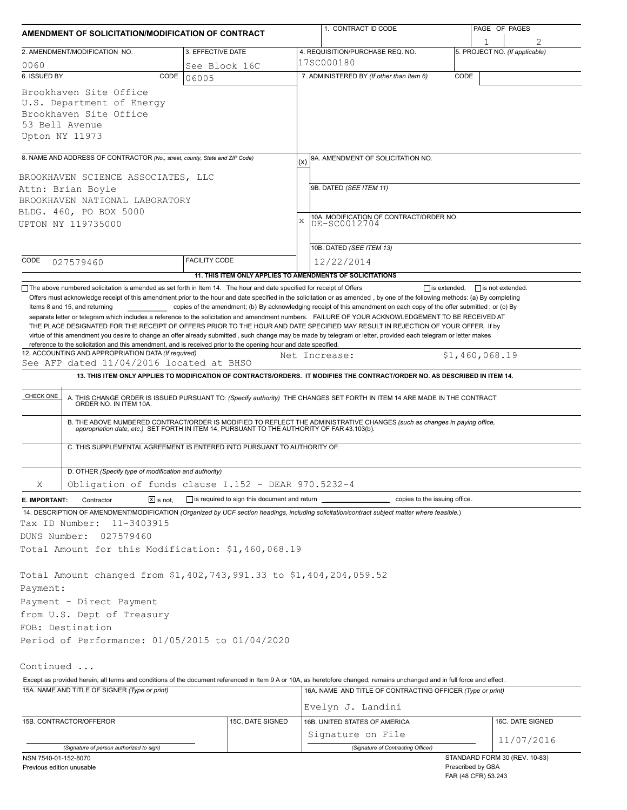| AMENDMENT OF SOLICITATION/MODIFICATION OF CONTRACT                                                                                                                                                                                                                                                                                                                                                                                                                                                                                                                                                                                  |                   |                                                            |                                         | 1. CONTRACT ID CODE                                                                                                                                                                                                   |                   | PAGE OF PAGES                       |  |  |
|-------------------------------------------------------------------------------------------------------------------------------------------------------------------------------------------------------------------------------------------------------------------------------------------------------------------------------------------------------------------------------------------------------------------------------------------------------------------------------------------------------------------------------------------------------------------------------------------------------------------------------------|-------------------|------------------------------------------------------------|-----------------------------------------|-----------------------------------------------------------------------------------------------------------------------------------------------------------------------------------------------------------------------|-------------------|-------------------------------------|--|--|
| 2. AMENDMENT/MODIFICATION NO.                                                                                                                                                                                                                                                                                                                                                                                                                                                                                                                                                                                                       | 3. EFFECTIVE DATE |                                                            |                                         | 4. REQUISITION/PURCHASE REQ. NO.                                                                                                                                                                                      |                   | 1<br>5. PROJECT NO. (If applicable) |  |  |
| 0060<br>See Block 16C                                                                                                                                                                                                                                                                                                                                                                                                                                                                                                                                                                                                               |                   |                                                            |                                         | 17SC000180                                                                                                                                                                                                            |                   |                                     |  |  |
| 6. ISSUED BY                                                                                                                                                                                                                                                                                                                                                                                                                                                                                                                                                                                                                        | CODE<br>06005     |                                                            |                                         | 7. ADMINISTERED BY (If other than Item 6)                                                                                                                                                                             | CODE              |                                     |  |  |
| Brookhaven Site Office<br>U.S. Department of Energy<br>Brookhaven Site Office<br>53 Bell Avenue<br>Upton NY 11973                                                                                                                                                                                                                                                                                                                                                                                                                                                                                                                   |                   |                                                            |                                         |                                                                                                                                                                                                                       |                   |                                     |  |  |
| 8. NAME AND ADDRESS OF CONTRACTOR (No., street, county, State and ZIP Code)                                                                                                                                                                                                                                                                                                                                                                                                                                                                                                                                                         |                   |                                                            | (x)                                     | 9A. AMENDMENT OF SOLICITATION NO.                                                                                                                                                                                     |                   |                                     |  |  |
|                                                                                                                                                                                                                                                                                                                                                                                                                                                                                                                                                                                                                                     |                   |                                                            |                                         |                                                                                                                                                                                                                       |                   |                                     |  |  |
| BROOKHAVEN SCIENCE ASSOCIATES, LLC<br>Attn: Brian Boyle                                                                                                                                                                                                                                                                                                                                                                                                                                                                                                                                                                             |                   |                                                            |                                         | 9B. DATED (SEE ITEM 11)                                                                                                                                                                                               |                   |                                     |  |  |
| BROOKHAVEN NATIONAL LABORATORY                                                                                                                                                                                                                                                                                                                                                                                                                                                                                                                                                                                                      |                   |                                                            |                                         |                                                                                                                                                                                                                       |                   |                                     |  |  |
| BLDG. 460, PO BOX 5000                                                                                                                                                                                                                                                                                                                                                                                                                                                                                                                                                                                                              |                   |                                                            | 10A. MODIFICATION OF CONTRACT/ORDER NO. |                                                                                                                                                                                                                       |                   |                                     |  |  |
| UPTON NY 119735000                                                                                                                                                                                                                                                                                                                                                                                                                                                                                                                                                                                                                  |                   |                                                            | X<br>DE-SC0012704                       |                                                                                                                                                                                                                       |                   |                                     |  |  |
|                                                                                                                                                                                                                                                                                                                                                                                                                                                                                                                                                                                                                                     |                   |                                                            |                                         | 10B. DATED (SEE ITEM 13)                                                                                                                                                                                              |                   |                                     |  |  |
| <b>FACILITY CODE</b><br>CODE<br>027579460                                                                                                                                                                                                                                                                                                                                                                                                                                                                                                                                                                                           |                   |                                                            |                                         | 12/22/2014                                                                                                                                                                                                            |                   |                                     |  |  |
|                                                                                                                                                                                                                                                                                                                                                                                                                                                                                                                                                                                                                                     |                   |                                                            |                                         | 11. THIS ITEM ONLY APPLIES TO AMENDMENTS OF SOLICITATIONS                                                                                                                                                             |                   |                                     |  |  |
| separate letter or telegram which includes a reference to the solicitation and amendment numbers. FAILURE OF YOUR ACKNOWLEDGEMENT TO BE RECEIVED AT<br>THE PLACE DESIGNATED FOR THE RECEIPT OF OFFERS PRIOR TO THE HOUR AND DATE SPECIFIED MAY RESULT IN REJECTION OF YOUR OFFER If by<br>virtue of this amendment you desire to change an offer already submitted, such change may be made by telegram or letter, provided each telegram or letter makes<br>reference to the solicitation and this amendment, and is received prior to the opening hour and date specified.<br>12. ACCOUNTING AND APPROPRIATION DATA (If required) |                   |                                                            |                                         | Net Increase:                                                                                                                                                                                                         | \$1,460,068.19    |                                     |  |  |
| See AFP dated 11/04/2016 located at BHSO                                                                                                                                                                                                                                                                                                                                                                                                                                                                                                                                                                                            |                   |                                                            |                                         |                                                                                                                                                                                                                       |                   |                                     |  |  |
|                                                                                                                                                                                                                                                                                                                                                                                                                                                                                                                                                                                                                                     |                   |                                                            |                                         | 13. THIS ITEM ONLY APPLIES TO MODIFICATION OF CONTRACTS/ORDERS. IT MODIFIES THE CONTRACT/ORDER NO. AS DESCRIBED IN ITEM 14.                                                                                           |                   |                                     |  |  |
| CHECK ONE                                                                                                                                                                                                                                                                                                                                                                                                                                                                                                                                                                                                                           |                   |                                                            |                                         | A. THIS CHANGE ORDER IS ISSUED PURSUANT TO: (Specify authority) THE CHANGES SET FORTH IN ITEM 14 ARE MADE IN THE CONTRACT ORDER NO. IN ITEM 10A.                                                                      |                   |                                     |  |  |
|                                                                                                                                                                                                                                                                                                                                                                                                                                                                                                                                                                                                                                     |                   |                                                            |                                         | B. THE ABOVE NUMBERED CONTRACT/ORDER IS MODIFIED TO REFLECT THE ADMINISTRATIVE CHANGES (such as changes in paying office, appropriation date, etc.) SET FORTH IN ITEM 14, PURSUANT TO THE AUTHORITY OF FAR 43.103(b). |                   |                                     |  |  |
| C. THIS SUPPLEMENTAL AGREEMENT IS ENTERED INTO PURSUANT TO AUTHORITY OF:                                                                                                                                                                                                                                                                                                                                                                                                                                                                                                                                                            |                   |                                                            |                                         |                                                                                                                                                                                                                       |                   |                                     |  |  |
| D. OTHER (Specify type of modification and authority)                                                                                                                                                                                                                                                                                                                                                                                                                                                                                                                                                                               |                   |                                                            |                                         |                                                                                                                                                                                                                       |                   |                                     |  |  |
| Obligation of funds clause I.152 - DEAR 970.5232-4<br>Χ                                                                                                                                                                                                                                                                                                                                                                                                                                                                                                                                                                             |                   |                                                            |                                         |                                                                                                                                                                                                                       |                   |                                     |  |  |
| $\boxed{\mathsf{X}}$ is not.<br>E. IMPORTANT:<br>Contractor                                                                                                                                                                                                                                                                                                                                                                                                                                                                                                                                                                         |                   | $\Box$ is required to sign this document and return $\Box$ |                                         | copies to the issuing office.                                                                                                                                                                                         |                   |                                     |  |  |
| 14. DESCRIPTION OF AMENDMENT/MODIFICATION (Organized by UCF section headings, including solicitation/contract subject matter where feasible.)<br>Tax ID Number:<br>11-3403915                                                                                                                                                                                                                                                                                                                                                                                                                                                       |                   |                                                            |                                         |                                                                                                                                                                                                                       |                   |                                     |  |  |
| DUNS Number:<br>027579460                                                                                                                                                                                                                                                                                                                                                                                                                                                                                                                                                                                                           |                   |                                                            |                                         |                                                                                                                                                                                                                       |                   |                                     |  |  |
| Total Amount for this Modification: \$1,460,068.19                                                                                                                                                                                                                                                                                                                                                                                                                                                                                                                                                                                  |                   |                                                            |                                         |                                                                                                                                                                                                                       |                   |                                     |  |  |
| Total Amount changed from \$1,402,743,991.33 to \$1,404,204,059.52                                                                                                                                                                                                                                                                                                                                                                                                                                                                                                                                                                  |                   |                                                            |                                         |                                                                                                                                                                                                                       |                   |                                     |  |  |
| Payment:                                                                                                                                                                                                                                                                                                                                                                                                                                                                                                                                                                                                                            |                   |                                                            |                                         |                                                                                                                                                                                                                       |                   |                                     |  |  |
| Payment - Direct Payment                                                                                                                                                                                                                                                                                                                                                                                                                                                                                                                                                                                                            |                   |                                                            |                                         |                                                                                                                                                                                                                       |                   |                                     |  |  |
| from U.S. Dept of Treasury                                                                                                                                                                                                                                                                                                                                                                                                                                                                                                                                                                                                          |                   |                                                            |                                         |                                                                                                                                                                                                                       |                   |                                     |  |  |
| FOB: Destination                                                                                                                                                                                                                                                                                                                                                                                                                                                                                                                                                                                                                    |                   |                                                            |                                         |                                                                                                                                                                                                                       |                   |                                     |  |  |
| Period of Performance: 01/05/2015 to 01/04/2020                                                                                                                                                                                                                                                                                                                                                                                                                                                                                                                                                                                     |                   |                                                            |                                         |                                                                                                                                                                                                                       |                   |                                     |  |  |
| Continued                                                                                                                                                                                                                                                                                                                                                                                                                                                                                                                                                                                                                           |                   |                                                            |                                         |                                                                                                                                                                                                                       |                   |                                     |  |  |
| Except as provided herein, all terms and conditions of the document referenced in Item 9 A or 10A, as heretofore changed, remains unchanged and in full force and effect.                                                                                                                                                                                                                                                                                                                                                                                                                                                           |                   |                                                            |                                         |                                                                                                                                                                                                                       |                   |                                     |  |  |
| 15A. NAME AND TITLE OF SIGNER (Type or print)                                                                                                                                                                                                                                                                                                                                                                                                                                                                                                                                                                                       |                   |                                                            |                                         | 16A. NAME AND TITLE OF CONTRACTING OFFICER (Type or print)                                                                                                                                                            |                   |                                     |  |  |
|                                                                                                                                                                                                                                                                                                                                                                                                                                                                                                                                                                                                                                     |                   |                                                            |                                         | Evelyn J. Landini                                                                                                                                                                                                     |                   |                                     |  |  |
| 15B. CONTRACTOR/OFFEROR                                                                                                                                                                                                                                                                                                                                                                                                                                                                                                                                                                                                             |                   | 15C. DATE SIGNED                                           |                                         | 16B. UNITED STATES OF AMERICA                                                                                                                                                                                         |                   | 16C. DATE SIGNED                    |  |  |
|                                                                                                                                                                                                                                                                                                                                                                                                                                                                                                                                                                                                                                     |                   |                                                            |                                         | Signature on File                                                                                                                                                                                                     |                   |                                     |  |  |
| (Signature of person authorized to sign)                                                                                                                                                                                                                                                                                                                                                                                                                                                                                                                                                                                            |                   |                                                            |                                         | (Signature of Contracting Officer)                                                                                                                                                                                    |                   | 11/07/2016                          |  |  |
| NSN 7540-01-152-8070<br>Previous edition unusable                                                                                                                                                                                                                                                                                                                                                                                                                                                                                                                                                                                   |                   |                                                            |                                         |                                                                                                                                                                                                                       | Prescribed by GSA | STANDARD FORM 30 (REV. 10-83)       |  |  |
|                                                                                                                                                                                                                                                                                                                                                                                                                                                                                                                                                                                                                                     |                   |                                                            |                                         |                                                                                                                                                                                                                       |                   |                                     |  |  |